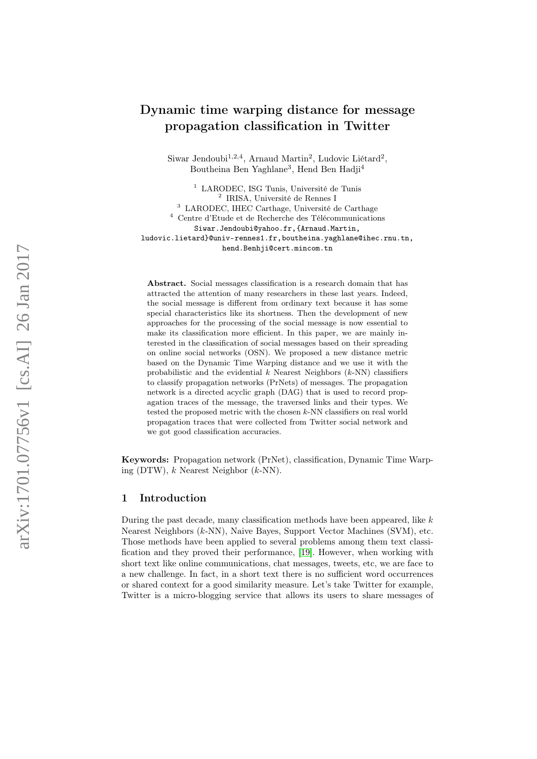# Dynamic time warping distance for message propagation classification in Twitter

Siwar Jendoubi<sup>1,2,4</sup>, Arnaud Martin<sup>2</sup>, Ludovic Liétard<sup>2</sup>, Boutheina Ben Yaghlane 3 , Hend Ben Hadji 4

<sup>1</sup> LARODEC, ISG Tunis, Université de Tunis 2 IRISA, Université de Rennes I <sup>3</sup> LARODEC, IHEC Carthage, Université de Carthage  $^4\,$  Centre d'Etude et de Recherche des Télécommunications Siwar.Jendoubi@yahoo.fr,{Arnaud.Martin, ludovic.lietard}@univ-rennes1.fr,boutheina.yaghlane@ihec.rnu.tn, hend.Benhji@cert.mincom.tn

Abstract. Social messages classification is a research domain that has attracted the attention of many researchers in these last years. Indeed, the social message is different from ordinary text because it has some special characteristics like its shortness. Then the development of new approaches for the processing of the social message is now essential to make its classification more efficient. In this paper, we are mainly interested in the classification of social messages based on their spreading on online social networks (OSN). We proposed a new distance metric based on the Dynamic Time Warping distance and we use it with the probabilistic and the evidential k Nearest Neighbors ( k-NN) classifiers to classify propagation networks (PrNets) of messages. The propagation network is a directed acyclic graph (DAG) that is used to record propagation traces of the message, the traversed links and their types. We tested the proposed metric with the chosen k-NN classifiers on real world propagation traces that were collected from Twitter social network and we got good classification accuracies.

Keywords: Propagation network (PrNet), classification, Dynamic Time Warping (DTW),  $k$  Nearest Neighbor  $(k-NN)$ .

## 1 Introduction

During the past decade, many classification methods have been appeared, like k Nearest Neighbors ( k-NN), Naive Bayes, Support Vector Machines (SVM), etc. Those methods have been applied to several problems among them text classification and they proved their performance, [\[19\]](#page-9-0). However, when working with short text like online communications, chat messages, tweets, etc, we are face to a new challenge. In fact, in a short text there is no sufficient word occurrences or shared context for a good similarity measure. Let's take Twitter for example, Twitter is a micro-blogging service that allows its users to share messages of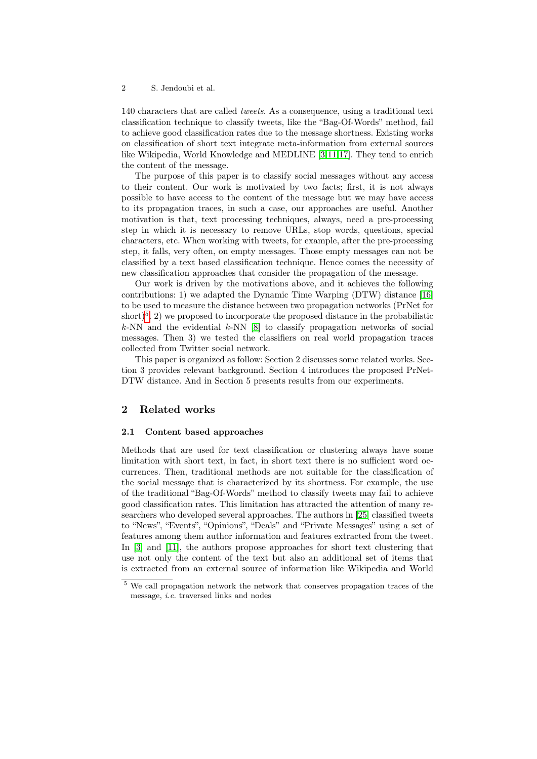#### 2 S. Jendoubi et al.

140 characters that are called tweets. As a consequence, using a traditional text classification technique to classify tweets, like the "Bag-Of-Words" method, fail to achieve good classification rates due to the message shortness. Existing works on classification of short text integrate meta-information from external sources like Wikipedia, World Knowledge and MEDLINE [\[3,](#page-8-0)[11,](#page-9-1)[17\]](#page-9-2). They tend to enrich the content of the message.

The purpose of this paper is to classify social messages without any access to their content. Our work is motivated by two facts; first, it is not always possible to have access to the content of the message but we may have access to its propagation traces, in such a case, our approaches are useful. Another motivation is that, text processing techniques, always, need a pre-processing step in which it is necessary to remove URLs, stop words, questions, special characters, etc. When working with tweets, for example, after the pre-processing step, it falls, very often, on empty messages. Those empty messages can not be classified by a text based classification technique. Hence comes the necessity of new classification approaches that consider the propagation of the message.

Our work is driven by the motivations above, and it achieves the following contributions: 1) we adapted the Dynamic Time Warping (DTW) distance [\[16\]](#page-9-3) to be used to measure the distance between two propagation networks (PrNet for short)<sup>[5](#page-1-0)</sup>. 2) we proposed to incorporate the proposed distance in the probabilistic  $k$ -NN and the evidential  $k$ -NN  $[8]$  to classify propagation networks of social messages. Then 3) we tested the classifiers on real world propagation traces collected from Twitter social network.

This paper is organized as follow: Section 2 discusses some related works. Section 3 provides relevant background. Section 4 introduces the proposed PrNet-DTW distance. And in Section 5 presents results from our experiments.

# 2 Related works

# 2.1 Content based approaches

Methods that are used for text classification or clustering always have some limitation with short text, in fact, in short text there is no sufficient word occurrences. Then, traditional methods are not suitable for the classification of the social message that is characterized by its shortness. For example, the use of the traditional "Bag-Of-Words" method to classify tweets may fail to achieve good classification rates. This limitation has attracted the attention of many researchers who developed several approaches. The authors in [\[25\]](#page-9-5) classified tweets to "News", "Events", "Opinions", "Deals" and "Private Messages" using a set of features among them author information and features extracted from the tweet. In [\[3\]](#page-8-0) and [\[11\]](#page-9-1), the authors propose approaches for short text clustering that use not only the content of the text but also an additional set of items that is extracted from an external source of information like Wikipedia and World

<span id="page-1-0"></span><sup>5</sup> We call propagation network the network that conserves propagation traces of the message, i.e. traversed links and nodes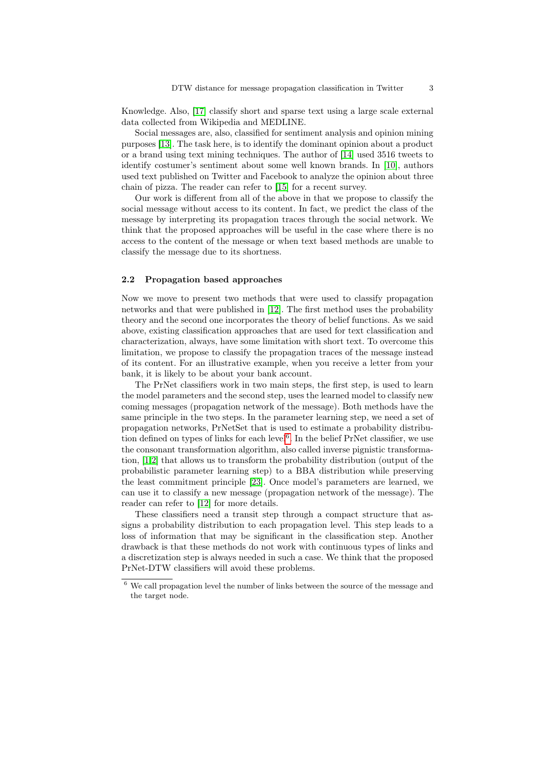Knowledge. Also, [\[17\]](#page-9-2) classify short and sparse text using a large scale external data collected from Wikipedia and MEDLINE.

Social messages are, also, classified for sentiment analysis and opinion mining purposes [\[13\]](#page-9-6). The task here, is to identify the dominant opinion about a product or a brand using text mining techniques. The author of [\[14\]](#page-9-7) used 3516 tweets to identify costumer's sentiment about some well known brands. In [\[10\]](#page-9-8), authors used text published on Twitter and Facebook to analyze the opinion about three chain of pizza. The reader can refer to [\[15\]](#page-9-9) for a recent survey.

Our work is different from all of the above in that we propose to classify the social message without access to its content. In fact, we predict the class of the message by interpreting its propagation traces through the social network. We think that the proposed approaches will be useful in the case where there is no access to the content of the message or when text based methods are unable to classify the message due to its shortness.

#### 2.2 Propagation based approaches

Now we move to present two methods that were used to classify propagation networks and that were published in [\[12\]](#page-9-10). The first method uses the probability theory and the second one incorporates the theory of belief functions. As we said above, existing classification approaches that are used for text classification and characterization, always, have some limitation with short text. To overcome this limitation, we propose to classify the propagation traces of the message instead of its content. For an illustrative example, when you receive a letter from your bank, it is likely to be about your bank account.

The PrNet classifiers work in two main steps, the first step, is used to learn the model parameters and the second step, uses the learned model to classify new coming messages (propagation network of the message). Both methods have the same principle in the two steps. In the parameter learning step, we need a set of propagation networks, PrNetSet that is used to estimate a probability distribu-tion defined on types of links for each level<sup>[6](#page-2-0)</sup>. In the belief PrNet classifier, we use the consonant transformation algorithm, also called inverse pignistic transformation, [\[1](#page-8-1)[,2\]](#page-8-2) that allows us to transform the probability distribution (output of the probabilistic parameter learning step) to a BBA distribution while preserving the least commitment principle [\[23\]](#page-9-11). Once model's parameters are learned, we can use it to classify a new message (propagation network of the message). The reader can refer to [\[12\]](#page-9-10) for more details.

These classifiers need a transit step through a compact structure that assigns a probability distribution to each propagation level. This step leads to a loss of information that may be significant in the classification step. Another drawback is that these methods do not work with continuous types of links and a discretization step is always needed in such a case. We think that the proposed PrNet-DTW classifiers will avoid these problems.

<span id="page-2-0"></span> $^{\rm 6}$  We call propagation level the number of links between the source of the message and the target node.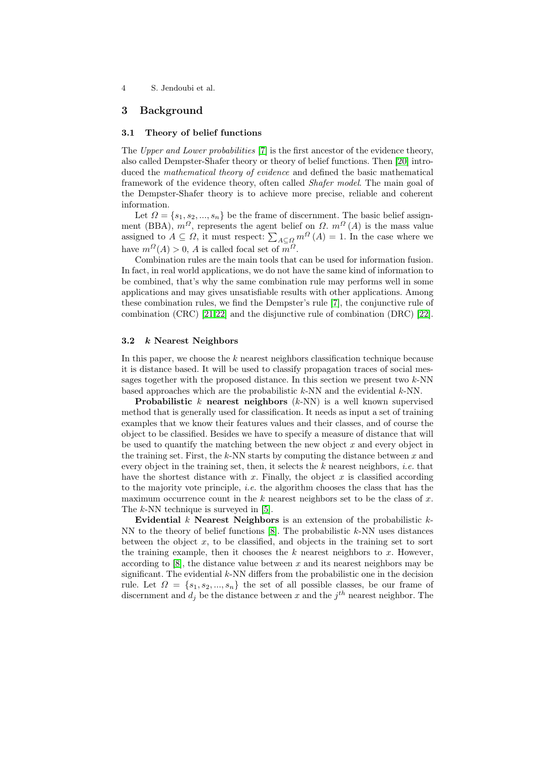4 S. Jendoubi et al.

## 3 Background

#### 3.1 Theory of belief functions

The Upper and Lower probabilities [\[7\]](#page-9-12) is the first ancestor of the evidence theory, also called Dempster-Shafer theory or theory of belief functions. Then [\[20\]](#page-9-13) introduced the mathematical theory of evidence and defined the basic mathematical framework of the evidence theory, often called Shafer model. The main goal of the Dempster-Shafer theory is to achieve more precise, reliable and coherent information.

Let  $\Omega = \{s_1, s_2, ..., s_n\}$  be the frame of discernment. The basic belief assignment (BBA),  $m^Q$ , represents the agent belief on  $\Omega$ .  $m^Q(A)$  is the mass value assigned to  $A \subseteq \Omega$ , it must respect:  $\sum_{A \subseteq \Omega} m^{\Omega}(A) = 1$ . In the case where we have  $m^{\Omega}(A) > 0$ , A is called focal set of  $m^{\Omega}$ .

Combination rules are the main tools that can be used for information fusion. In fact, in real world applications, we do not have the same kind of information to be combined, that's why the same combination rule may performs well in some applications and may gives unsatisfiable results with other applications. Among these combination rules, we find the Dempster's rule [\[7\]](#page-9-12), the conjunctive rule of combination (CRC) [\[21,](#page-9-14)[22\]](#page-9-15) and the disjunctive rule of combination (DRC) [\[22\]](#page-9-15).

#### 3.2  $k$  Nearest Neighbors

In this paper, we choose the  $k$  nearest neighbors classification technique because it is distance based. It will be used to classify propagation traces of social messages together with the proposed distance. In this section we present two  $k$ -NN based approaches which are the probabilistic  $k\text{-NN}$  and the evidential  $k\text{-NN}$ .

**Probabilistic** k nearest neighbors  $(k-NN)$  is a well known supervised method that is generally used for classification. It needs as input a set of training examples that we know their features values and their classes, and of course the object to be classified. Besides we have to specify a measure of distance that will be used to quantify the matching between the new object  $x$  and every object in the training set. First, the k-NN starts by computing the distance between  $x$  and every object in the training set, then, it selects the  $k$  nearest neighbors, *i.e.* that have the shortest distance with  $x$ . Finally, the object  $x$  is classified according to the majority vote principle, i.e. the algorithm chooses the class that has the maximum occurrence count in the k nearest neighbors set to be the class of x. The k-NN technique is surveyed in [\[5\]](#page-8-3).

Evidential  $k$  Nearest Neighbors is an extension of the probabilistic  $k$ -NN to the theory of belief functions  $[8]$ . The probabilistic  $k$ -NN uses distances between the object  $x$ , to be classified, and objects in the training set to sort the training example, then it chooses the  $k$  nearest neighbors to  $x$ . However, according to  $[8]$ , the distance value between x and its nearest neighbors may be significant. The evidential  $k$ -NN differs from the probabilistic one in the decision rule. Let  $\Omega = \{s_1, s_2, ..., s_n\}$  the set of all possible classes, be our frame of discernment and  $d_j$  be the distance between x and the  $j^{th}$  nearest neighbor. The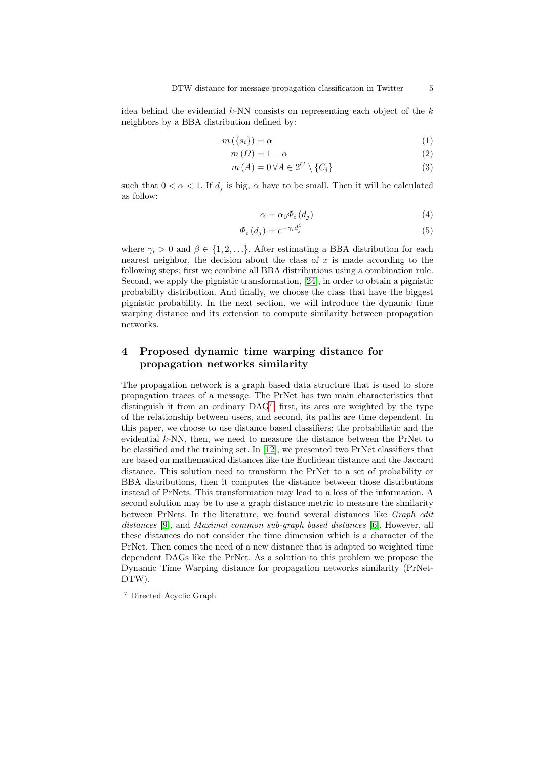idea behind the evidential  $k$ -NN consists on representing each object of the  $k$ neighbors by a BBA distribution defined by:

$$
m(\{s_i\}) = \alpha \tag{1}
$$

$$
m(\Omega) = 1 - \alpha \tag{2}
$$

$$
m(A) = 0 \,\forall A \in 2^C \setminus \{C_i\} \tag{3}
$$

such that  $0 < \alpha < 1$ . If  $d_i$  is big,  $\alpha$  have to be small. Then it will be calculated as follow:

$$
\alpha = \alpha_0 \Phi_i \left( d_j \right) \tag{4}
$$

$$
\Phi_i(d_j) = e^{-\gamma_i d_j^{\beta}} \tag{5}
$$

where  $\gamma_i > 0$  and  $\beta \in \{1, 2, ...\}$ . After estimating a BBA distribution for each nearest neighbor, the decision about the class of  $x$  is made according to the following steps; first we combine all BBA distributions using a combination rule. Second, we apply the pignistic transformation, [\[24\]](#page-9-16), in order to obtain a pignistic probability distribution. And finally, we choose the class that have the biggest pignistic probability. In the next section, we will introduce the dynamic time warping distance and its extension to compute similarity between propagation networks.

# 4 Proposed dynamic time warping distance for propagation networks similarity

The propagation network is a graph based data structure that is used to store propagation traces of a message. The PrNet has two main characteristics that distinguish it from an ordinary  $DAG^7$  $DAG^7$ ; first, its arcs are weighted by the type of the relationship between users, and second, its paths are time dependent. In this paper, we choose to use distance based classifiers; the probabilistic and the evidential  $k$ -NN, then, we need to measure the distance between the PrNet to be classified and the training set. In [\[12\]](#page-9-10), we presented two PrNet classifiers that are based on mathematical distances like the Euclidean distance and the Jaccard distance. This solution need to transform the PrNet to a set of probability or BBA distributions, then it computes the distance between those distributions instead of PrNets. This transformation may lead to a loss of the information. A second solution may be to use a graph distance metric to measure the similarity between PrNets. In the literature, we found several distances like Graph edit distances [\[9\]](#page-9-17), and *Maximal common sub-graph based distances* [\[6\]](#page-9-18). However, all these distances do not consider the time dimension which is a character of the PrNet. Then comes the need of a new distance that is adapted to weighted time dependent DAGs like the PrNet. As a solution to this problem we propose the Dynamic Time Warping distance for propagation networks similarity (PrNet-DTW).

<span id="page-4-0"></span><sup>7</sup> Directed Acyclic Graph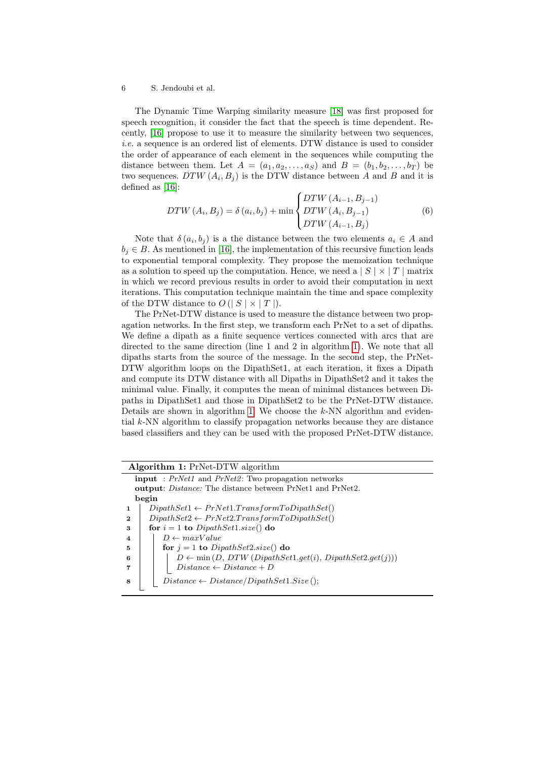6 S. Jendoubi et al.

The Dynamic Time Warping similarity measure [\[18\]](#page-9-19) was first proposed for speech recognition, it consider the fact that the speech is time dependent. Recently, [\[16\]](#page-9-3) propose to use it to measure the similarity between two sequences, i.e. a sequence is an ordered list of elements. DTW distance is used to consider the order of appearance of each element in the sequences while computing the distance between them. Let  $A = (a_1, a_2, \ldots, a_S)$  and  $B = (b_1, b_2, \ldots, b_T)$  be two sequences.  $DTW(A_i, B_j)$  is the DTW distance between A and B and it is defined as [\[16\]](#page-9-3):

$$
DTW(A_i, B_j) = \delta(a_i, b_j) + \min \begin{cases} DTW(A_{i-1}, B_{j-1}) \\ DTW(A_i, B_{j-1}) \\ DTW(A_{i-1}, B_j) \end{cases}
$$
(6)

Note that  $\delta(a_i, b_j)$  is a the distance between the two elements  $a_i \in A$  and  $b_i \in B$ . As mentioned in [\[16\]](#page-9-3), the implementation of this recursive function leads to exponential temporal complexity. They propose the memoization technique as a solution to speed up the computation. Hence, we need a  $|S| \times |T|$  matrix in which we record previous results in order to avoid their computation in next iterations. This computation technique maintain the time and space complexity of the DTW distance to  $O(|S| \times |T|)$ .

The PrNet-DTW distance is used to measure the distance between two propagation networks. In the first step, we transform each PrNet to a set of dipaths. We define a dipath as a finite sequence vertices connected with arcs that are directed to the same direction (line 1 and 2 in algorithm [1\)](#page-5-0). We note that all dipaths starts from the source of the message. In the second step, the PrNet-DTW algorithm loops on the DipathSet1, at each iteration, it fixes a Dipath and compute its DTW distance with all Dipaths in DipathSet2 and it takes the minimal value. Finally, it computes the mean of minimal distances between Dipaths in DipathSet1 and those in DipathSet2 to be the PrNet-DTW distance. Details are shown in algorithm [1.](#page-5-0) We choose the  $k$ -NN algorithm and evidential  $k$ -NN algorithm to classify propagation networks because they are distance based classifiers and they can be used with the proposed PrNet-DTW distance.

<span id="page-5-0"></span>

| Algorithm 1: PrNet-DTW algorithm                                       |  |  |  |  |  |  |
|------------------------------------------------------------------------|--|--|--|--|--|--|
| <b>input</b> : $PrNet1$ and $PrNet2$ : Two propagation networks        |  |  |  |  |  |  |
| <b>output:</b> Distance: The distance between PrNet1 and PrNet2.       |  |  |  |  |  |  |
| begin                                                                  |  |  |  |  |  |  |
| $DipathSet1 \leftarrow PrNet1. TransformToDipathSet()$<br>1            |  |  |  |  |  |  |
| $DipathSet2 \leftarrow PrNet2. TransformToDipathSet()$<br>$\mathbf 2$  |  |  |  |  |  |  |
| for $i = 1$ to $DipathSet1.size()$ do<br>3                             |  |  |  |  |  |  |
| $D \leftarrow maxValue$<br>$\overline{\mathbf{4}}$                     |  |  |  |  |  |  |
| for $j = 1$ to $DipathSet2.size()$ do<br>5                             |  |  |  |  |  |  |
| $D \leftarrow \min(D, DTW(DipathSet1.get(i), DipathSet2.get(j)))$<br>6 |  |  |  |  |  |  |
| $Distance \leftarrow Distance + D$<br>7                                |  |  |  |  |  |  |
| $Distance \leftarrow Distance/DipathSet1. Size();$<br>8                |  |  |  |  |  |  |
|                                                                        |  |  |  |  |  |  |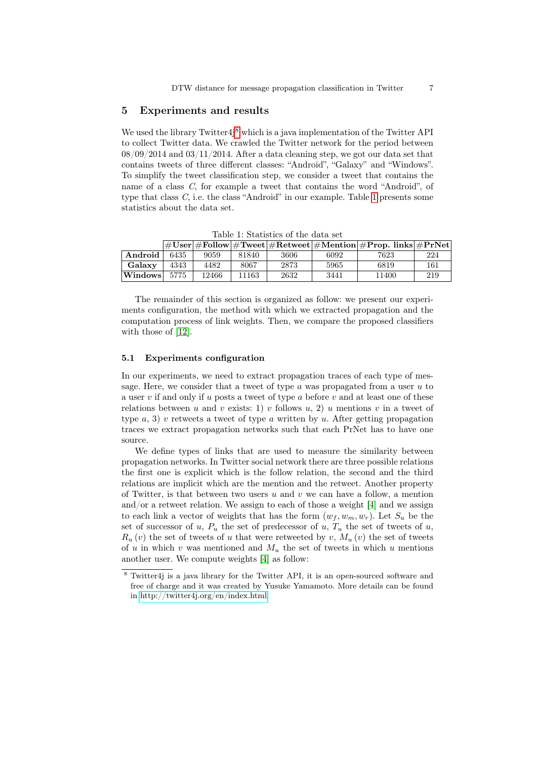#### 5 Experiments and results

We used the library Twitter4j<sup>[8](#page-6-0)</sup> which is a java implementation of the Twitter API to collect Twitter data. We crawled the Twitter network for the period between  $08/09/2014$  and  $03/11/2014$ . After a data cleaning step, we got our data set that contains tweets of three different classes: "Android", "Galaxy" and "Windows". To simplify the tweet classification step, we consider a tweet that contains the name of a class C, for example a tweet that contains the word "Android", of type that class C, i.e. the class "Android" in our example. Table [1](#page-6-1) presents some statistics about the data set.

Table 1: Statistics of the data set

<span id="page-6-1"></span>

|                   |      |       |       |      |      | $ \#\text{User} \#\text{Follow} \#\text{Twoet} \#\text{Retweet} \#\text{Mention} \#\text{Prop. links} \#\text{PrNet} $ |     |
|-------------------|------|-------|-------|------|------|------------------------------------------------------------------------------------------------------------------------|-----|
| Android           | 6435 | 9059  | 81840 | 3606 | 6092 | 7623                                                                                                                   | 224 |
| Galaxy            | 4343 | 4482  | 8067  | 2873 | 5965 | 6819                                                                                                                   | 161 |
| $ {\bf Windows} $ | 5775 | 12466 | 11163 | 2632 | 3441 | 11400                                                                                                                  | 219 |

The remainder of this section is organized as follow: we present our experiments configuration, the method with which we extracted propagation and the computation process of link weights. Then, we compare the proposed classifiers with those of [\[12\]](#page-9-10).

#### 5.1 Experiments configuration

In our experiments, we need to extract propagation traces of each type of message. Here, we consider that a tweet of type  $a$  was propagated from a user  $u$  to a user v if and only if u posts a tweet of type a before v and at least one of these relations between u and v exists: 1) v follows  $u, 2$ ) u mentions v in a tweet of type  $a, 3$ ) v retweets a tweet of type a written by u. After getting propagation traces we extract propagation networks such that each PrNet has to have one source.

We define types of links that are used to measure the similarity between propagation networks. In Twitter social network there are three possible relations the first one is explicit which is the follow relation, the second and the third relations are implicit which are the mention and the retweet. Another property of Twitter, is that between two users  $u$  and  $v$  we can have a follow, a mention and/or a retweet relation. We assign to each of those a weight  $|4|$  and we assign to each link a vector of weights that has the form  $(w_f, w_m, w_r)$ . Let  $S_u$  be the set of successor of u,  $P_u$  the set of predecessor of u,  $T_u$  the set of tweets of u,  $R_u(v)$  the set of tweets of u that were retweeted by v,  $M_u(v)$  the set of tweets of u in which v was mentioned and  $M_u$  the set of tweets in which u mentions another user. We compute weights [\[4\]](#page-8-4) as follow:

<span id="page-6-0"></span><sup>8</sup> Twitter4j is a java library for the Twitter API, it is an open-sourced software and free of charge and it was created by Yusuke Yamamoto. More details can be found in [http://twitter4j.org/en/index.html.](http://twitter4j.org/en/index.html)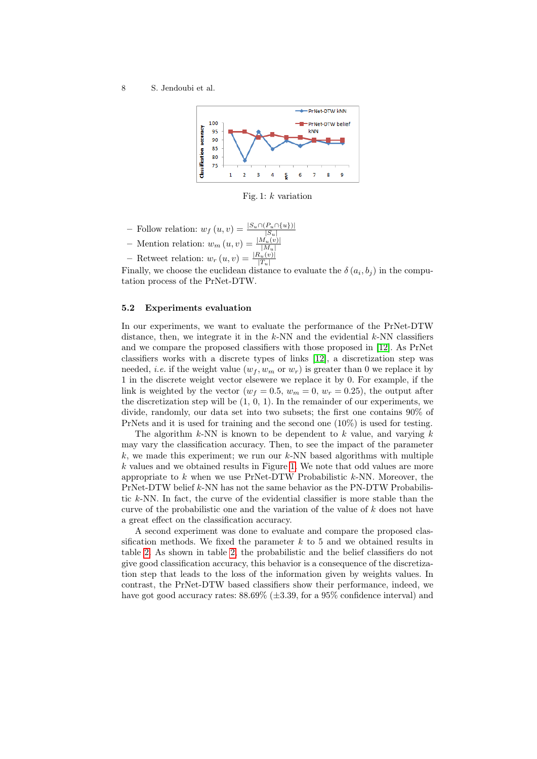<span id="page-7-0"></span>8 S. Jendoubi et al.



Fig. 1: k variation

- Follow relation:  $w_f(u, v) = \frac{|S_u \cap (P_u \cap \{u\})|}{|S_u|}$
- Mention relation:  $w_m(u, v) = \frac{|M_u(v)|}{|M_u|}$
- Retweet relation:  $w_r(u, v) = \frac{|R_u(v)|}{|T_u|}$

Finally, we choose the euclidean distance to evaluate the  $\delta(a_i, b_j)$  in the computation process of the PrNet-DTW.

#### 5.2 Experiments evaluation

In our experiments, we want to evaluate the performance of the PrNet-DTW distance, then, we integrate it in the  $k$ -NN and the evidential  $k$ -NN classifiers and we compare the proposed classifiers with those proposed in [\[12\]](#page-9-10). As PrNet classifiers works with a discrete types of links [\[12\]](#page-9-10), a discretization step was needed, *i.e.* if the weight value  $(w_f, w_m \text{ or } w_r)$  is greater than 0 we replace it by 1 in the discrete weight vector elsewere we replace it by 0. For example, if the link is weighted by the vector ( $w_f = 0.5$ ,  $w_m = 0$ ,  $w_r = 0.25$ ), the output after the discretization step will be  $(1, 0, 1)$ . In the remainder of our experiments, we divide, randomly, our data set into two subsets; the first one contains 90% of PrNets and it is used for training and the second one (10%) is used for testing.

The algorithm  $k$ -NN is known to be dependent to k value, and varying k may vary the classification accuracy. Then, to see the impact of the parameter  $k$ , we made this experiment; we run our  $k$ -NN based algorithms with multiple  $k$  values and we obtained results in Figure [1.](#page-7-0) We note that odd values are more appropriate to  $k$  when we use PrNet-DTW Probabilistic  $k$ -NN. Moreover, the PrNet-DTW belief k-NN has not the same behavior as the PN-DTW Probabilistic k-NN. In fact, the curve of the evidential classifier is more stable than the curve of the probabilistic one and the variation of the value of  $k$  does not have a great effect on the classification accuracy.

A second experiment was done to evaluate and compare the proposed classification methods. We fixed the parameter  $k$  to 5 and we obtained results in table [2.](#page-8-5) As shown in table [2,](#page-8-5) the probabilistic and the belief classifiers do not give good classification accuracy, this behavior is a consequence of the discretization step that leads to the loss of the information given by weights values. In contrast, the PrNet-DTW based classifiers show their performance, indeed, we have got good accuracy rates:  $88.69\%$  ( $\pm 3.39$ , for a  $95\%$  confidence interval) and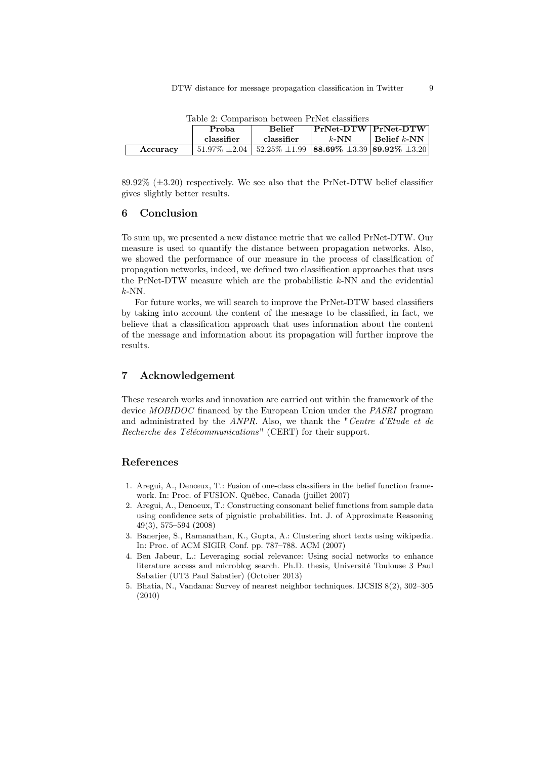<span id="page-8-5"></span>

|          | Table 2. Comparison between I H to chassiners<br>Proba | <b>Belief</b> | $ PrNet-DTW PrNet-DTW$ |                                                                                   |  |
|----------|--------------------------------------------------------|---------------|------------------------|-----------------------------------------------------------------------------------|--|
|          | classifier                                             | classifier    | $k$ -NN                | Belief $k$ -NN                                                                    |  |
| Accuracy |                                                        |               |                        | $51.97\% \pm 2.04$   $52.25\% \pm 1.99$   88.69\% $\pm 3.39$   89.92\% $\pm 3.20$ |  |

Table 2: Comparison between PrNet classifiers

 $89.92\%$  ( $\pm 3.20$ ) respectively. We see also that the PrNet-DTW belief classifier gives slightly better results.

# 6 Conclusion

To sum up, we presented a new distance metric that we called PrNet-DTW. Our measure is used to quantify the distance between propagation networks. Also, we showed the performance of our measure in the process of classification of propagation networks, indeed, we defined two classification approaches that uses the PrNet-DTW measure which are the probabilistic  $k$ -NN and the evidential  $k$ -NN.

For future works, we will search to improve the PrNet-DTW based classifiers by taking into account the content of the message to be classified, in fact, we believe that a classification approach that uses information about the content of the message and information about its propagation will further improve the results.

# 7 Acknowledgement

These research works and innovation are carried out within the framework of the device MOBIDOC financed by the European Union under the PASRI program and administrated by the ANPR. Also, we thank the "Centre d'Etude et de Recherche des Télécommunications" (CERT) for their support.

# References

- <span id="page-8-1"></span>1. Aregui, A., Denœux, T.: Fusion of one-class classifiers in the belief function framework. In: Proc. of FUSION. Québec, Canada (juillet 2007)
- <span id="page-8-2"></span>2. Aregui, A., Denoeux, T.: Constructing consonant belief functions from sample data using confidence sets of pignistic probabilities. Int. J. of Approximate Reasoning 49(3), 575–594 (2008)
- <span id="page-8-0"></span>3. Banerjee, S., Ramanathan, K., Gupta, A.: Clustering short texts using wikipedia. In: Proc. of ACM SIGIR Conf. pp. 787–788. ACM (2007)
- <span id="page-8-4"></span>4. Ben Jabeur, L.: Leveraging social relevance: Using social networks to enhance literature access and microblog search. Ph.D. thesis, Université Toulouse 3 Paul Sabatier (UT3 Paul Sabatier) (October 2013)
- <span id="page-8-3"></span>5. Bhatia, N., Vandana: Survey of nearest neighbor techniques. IJCSIS 8(2), 302–305 (2010)